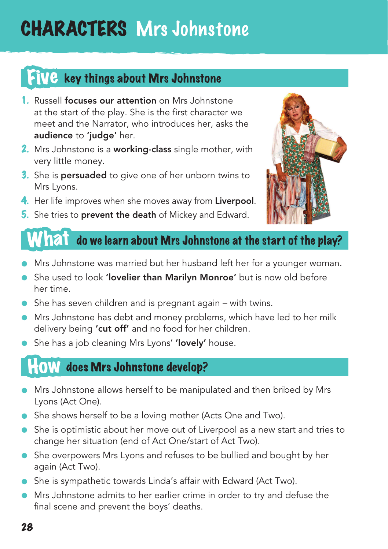# CHARACTERS Mrs Johnstone

### Five key things about Mrs Johnstone

- 1. Russell focuses our attention on Mrs Johnstone at the start of the play. She is the first character we meet and the Narrator, who introduces her, asks the audience to 'judge' her.
- 2. Mrs Johnstone is a working-class single mother, with very little money.
- 3. She is persuaded to give one of her unborn twins to Mrs Lyons.
- 4. Her life improves when she moves away from Liverpool.
- **5.** She tries to **prevent the death** of Mickey and Edward.



#### $W$   $\Omega$   $\dot{\Omega}$  do we learn about Mrs Johnstone at the start of the play?

- Mrs Johnstone was married but her husband left her for a younger woman.
- **•** She used to look 'lovelier than Marilyn Monroe' but is now old before her time.
- $\bullet$  She has seven children and is pregnant again with twins.
- $\bullet$  Mrs Johnstone has debt and money problems, which have led to her milk delivery being 'cut off' and no food for her children.
- She has a job cleaning Mrs Lyons' 'lovely' house.

### **HOW** does Mrs Johnstone develop?

- Mrs Johnstone allows herself to be manipulated and then bribed by Mrs Lyons (Act One).
- She shows herself to be a loving mother (Acts One and Two).
- She is optimistic about her move out of Liverpool as a new start and tries to change her situation (end of Act One/start of Act Two).
- She overpowers Mrs Lyons and refuses to be bullied and bought by her again (Act Two).
- She is sympathetic towards Linda's affair with Edward (Act Two).
- Mrs Johnstone admits to her earlier crime in order to try and defuse the final scene and prevent the boys' deaths.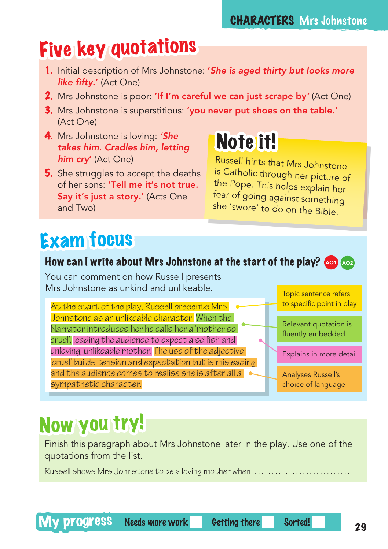#### CHARACTERS Mrs Johnstone

### Five key quotations

- 1. Initial description of Mrs Johnstone: '*She is aged thirty but looks more like fifty*.' (Act One)
- 2. Mrs Johnstone is poor: 'If I'm careful we can just scrape by*'* (Act One)
- 3. Mrs Johnstone is superstitious: 'you never put shoes on the table.' (Act One)
- 4. Mrs Johnstone is loving: *'She takes him. Cradles him, letting him cry*' (Act One)
- **5.** She struggles to accept the deaths of her sons: 'Tell me it's not true. Say it's just a story.' (Acts One and Two)

# Note it!

Russell hints that Mrs Johnstone is Catholic through her picture of the Pope. This helps explain her fear of going against something she 'swore' to do on the Bible.

# Exam focus

#### How can I write about Mrs Johnstone at the start of the play? And Ao2

You can comment on how Russell presents Mrs Johnstone as unkind and unlikeable.

At the start of the play, Russell presents Mrs Johnstone as an unlikeable character. When the Narrator introduces her he calls her a 'mother so cruel', leading the audience to expect a selfish and unloving, unlikeable mother. The use of the adjective 'cruel' builds tension and expectation but is misleading and the audience comes to realise she is after all a sympathetic character.

Topic sentence refers to specific point in play

Relevant quotation is fluently embedded

Explains in more detail

Analyses Russell's choice of language

## Now you try!

Finish this paragraph about Mrs Johnstone later in the play. Use one of the quotations from the list.

Russell shows Mrs Johnstone to be a loving mother when . .

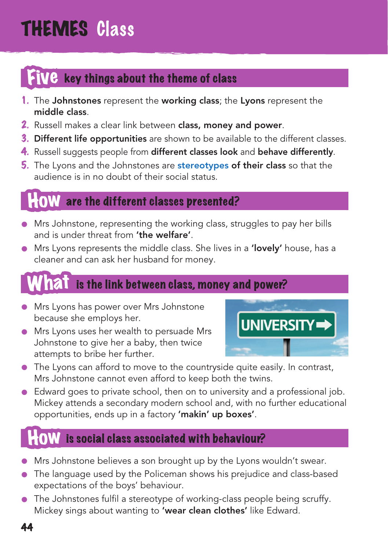# THEMES Class

### key things about the theme of class

- 1. The Johnstones represent the working class; the Lyons represent the middle class.
- 2. Russell makes a clear link between class, money and power.
- **3. Different life opportunities** are shown to be available to the different classes.
- 4. Russell suggests people from different classes look and behave differently.
- **5.** The Lyons and the Johnstones are **stereotypes of their class** so that the audience is in no doubt of their social status.

### are the different classes presented?

- Mrs Johnstone, representing the working class, struggles to pay her bills and is under threat from 'the welfare'.
- Mrs Lyons represents the middle class. She lives in a 'lovely' house, has a cleaner and can ask her husband for money.

### is the link between class, money and power?

- **Mrs Lyons has power over Mrs Johnstone** because she employs her.
- Mrs Lyons uses her wealth to persuade Mrs Johnstone to give her a baby, then twice attempts to bribe her further.



- $\bullet$  The Lyons can afford to move to the countryside quite easily. In contrast, Mrs Johnstone cannot even afford to keep both the twins.
- Edward goes to private school, then on to university and a professional job. Mickey attends a secondary modern school and, with no further educational opportunities, ends up in a factory 'makin' up boxes'.

### is social class associated with behaviour?

- Mrs Johnstone believes a son brought up by the Lyons wouldn't swear.
- The language used by the Policeman shows his prejudice and class-based expectations of the boys' behaviour.
- $\bullet$  The Johnstones fulfil a stereotype of working-class people being scruffy. Mickey sings about wanting to 'wear clean clothes' like Edward.